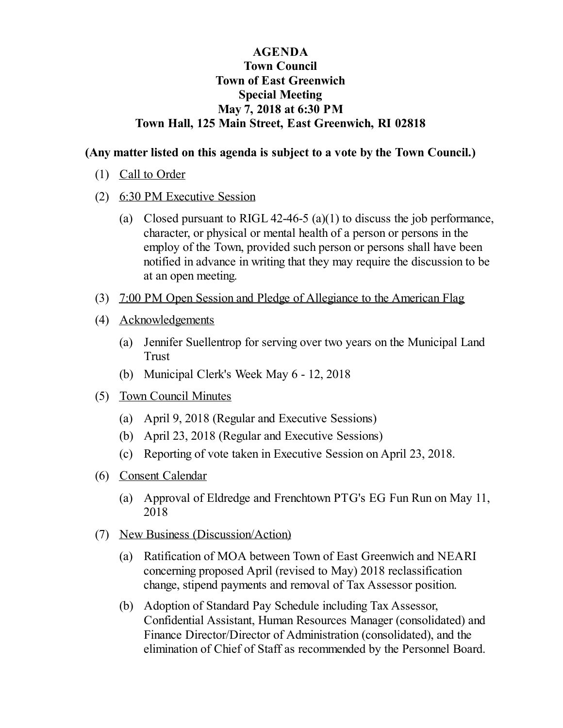## **AGENDA Town Council Town of East Greenwich Special Meeting May 7, 2018 at 6:30 PM Town Hall, 125 Main Street, East Greenwich, RI 02818**

## **(Any matter listed on this agenda is subject to a vote by the Town Council.)**

- (1) Call to Order
- (2) 6:30 PM Executive Session
	- (a) Closed pursuant to RIGL 42-46-5 (a)(1) to discuss the job performance, character, or physical or mental health of a person or persons in the employ of the Town, provided such person or persons shall have been notified in advance in writing that they may require the discussion to be at an open meeting.
- (3) 7:00 PM Open Session and Pledge of Allegiance to the American Flag
- (4) Acknowledgements
	- (a) Jennifer [Suellentrop](file:///C:/Windows/TEMP/CoverSheet.aspx?ItemID=873&MeetingID=116) for serving over two years on the Municipal Land Trust
	- (b) [Municipal](file:///C:/Windows/TEMP/CoverSheet.aspx?ItemID=876&MeetingID=116) Clerk's Week May 6 12, 2018
- (5) Town Council Minutes
	- (a) April 9, 2018 (Regular and [Executive](file:///C:/Windows/TEMP/CoverSheet.aspx?ItemID=868&MeetingID=116) Sessions)
	- (b) April 23, 2018 (Regular and [Executive](file:///C:/Windows/TEMP/CoverSheet.aspx?ItemID=869&MeetingID=116) Sessions)
	- (c) Reporting of vote taken in Executive Session on April 23, 2018.
- (6) Consent Calendar
	- (a) Approval of Eldredge and [Frenchtown](file:///C:/Windows/TEMP/CoverSheet.aspx?ItemID=871&MeetingID=116) PTG's EG Fun Run on May 11, 2018
- (7) New Business (Discussion/Action)
	- (a) Ratification of MOA between Town of East Greenwich and NEARI concerning proposed April (revised to May) 2018 [reclassification](file:///C:/Windows/TEMP/CoverSheet.aspx?ItemID=867&MeetingID=116) change, stipend payments and removal of Tax Assessor position.
	- (b) Adoption of Standard Pay Schedule including Tax Assessor, Confidential Assistant, Human Resources Manager (consolidated) and Finance [Director/Director](file:///C:/Windows/TEMP/CoverSheet.aspx?ItemID=880&MeetingID=116) of Administration (consolidated), and the elimination of Chief of Staff as recommended by the Personnel Board.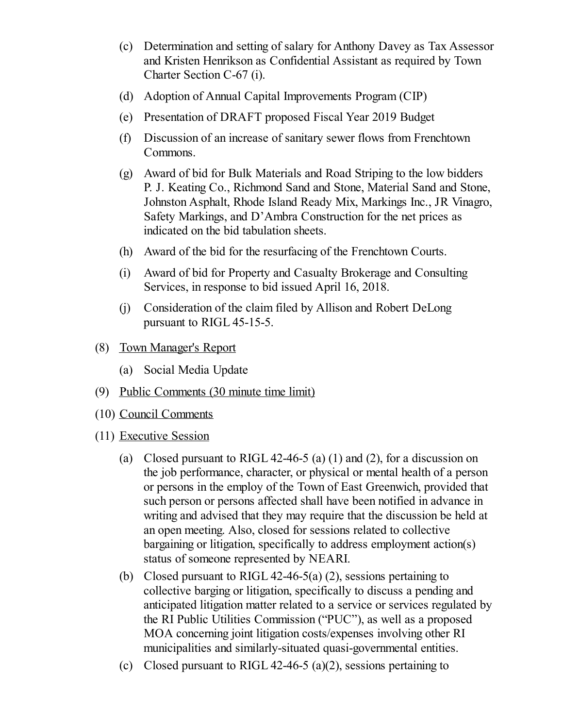- (c) Determination and setting of salary for Anthony Davey as Tax Assessor and Kristen Henrikson as Confidential Assistant as required by Town Charter Section C-67 (i).
- (d) Adoption of Annual Capital [Improvements](file:///C:/Windows/TEMP/CoverSheet.aspx?ItemID=874&MeetingID=116) Program (CIP)
- (e) [Presentation](file:///C:/Windows/TEMP/CoverSheet.aspx?ItemID=883&MeetingID=116) of DRAFT proposed Fiscal Year 2019 Budget
- (f) Discussion of an increase of sanitary sewer flows from [Frenchtown](file:///C:/Windows/TEMP/CoverSheet.aspx?ItemID=870&MeetingID=116) Commons.
- (g) Award of bid for Bulk Materials and Road Striping to the low bidders P. J. Keating Co., Richmond Sand and Stone, Material Sand and Stone, Johnston Asphalt, Rhode Island Ready Mix, Markings Inc., JR Vinagro, Safety Markings, and D'Ambra [Construction](file:///C:/Windows/TEMP/CoverSheet.aspx?ItemID=875&MeetingID=116) for the net prices as indicated on the bid tabulation sheets.
- (h) Award of the bid for the resurfacing of the [Frenchtown](file:///C:/Windows/TEMP/CoverSheet.aspx?ItemID=872&MeetingID=116) Courts.
- (i) Award of bid for Property and Casualty Brokerage and [Consulting](file:///C:/Windows/TEMP/CoverSheet.aspx?ItemID=887&MeetingID=116) Services, in response to bid issued April 16, 2018.
- (j) [Consideration](file:///C:/Windows/TEMP/CoverSheet.aspx?ItemID=882&MeetingID=116) of the claim filed by Allison and Robert DeLong pursuant to RIGL 45-15-5.
- (8) Town Manager's Report
	- (a) Social Media Update
- (9) Public Comments (30 minute time limit)
- (10) Council Comments
- (11) Executive Session
	- (a) Closed pursuant to RIGL 42-46-5 (a) (1) and (2), for a discussion on the job performance, character, or physical or mental health of a person or persons in the employ of the Town of East Greenwich, provided that such person or persons affected shall have been notified in advance in writing and advised that they may require that the discussion be held at an open meeting. Also, closed for sessions related to collective bargaining or litigation, specifically to address employment action(s) status of someone represented by NEARI.
	- (b) Closed pursuant to RIGL 42-46-5(a) (2), sessions pertaining to collective barging or litigation, specifically to discuss a pending and anticipated litigation matter related to a service or services regulated by the RI Public Utilities Commission ("PUC"), as well as a proposed MOA concerning joint litigation costs/expenses involving other RI municipalities and similarly-situated quasi-governmental entities.
	- (c) Closed pursuant to RIGL 42-46-5 (a)(2), sessions pertaining to